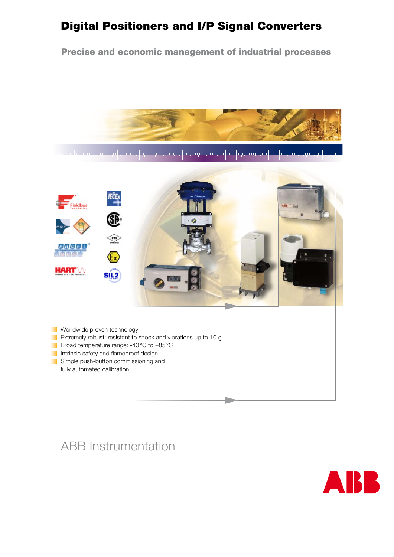# Digital Positioners and I/P Signal Converters

Precise and economic management of industrial processes



mbodnobnih odmutnih odnobnih o



- **Worldwide proven technology**
- **Extremely robust: resistant to shock and vibrations up to 10 g**
- Broad temperature range: -40 °C to +85 °C
- Intrinsic safety and flameproof design
- Simple push-button commissioning and fully automated calibration

# ABB Instrumentation

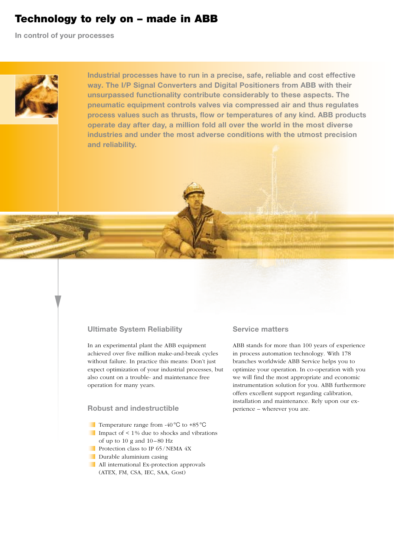### Technology to rely on – made in ABB

**In control of your processes**



**Industrial processes have to run in a precise, safe, reliable and cost effective way. The I/P Signal Converters and Digital Positioners from ABB with their unsurpassed functionality contribute considerably to these aspects. The pneumatic equipment controls valves via compressed air and thus regulates process values such as thrusts, flow or temperatures of any kind. ABB products operate day after day, a million fold all over the world in the most diverse industries and under the most adverse conditions with the utmost precision and reliability.**

#### **Ultimate System Reliability**

In an experimental plant the ABB equipment achieved over five million make-and-break cycles without failure. In practice this means: Don't just expect optimization of your industrial processes, but also count on a trouble- and maintenance free operation for many years.

### **Robust and indestructible**

- Temperature range from -40 °C to +85 °C Impact of  $\leq 1\%$  due to shocks and vibrations of up to 10 g and  $10 - 80$  Hz
- Protection class to IP 65/NEMA 4X
- **Durable aluminium casing**
- All international Ex-protection approvals (ATEX, FM, CSA, IEC, SAA, Gost)

#### **Service matters**

ABB stands for more than 100 years of experience in process automation technology. With 178 branches worldwide ABB Service helps you to optimize your operation. In co-operation with you we will find the most appropriate and economic instrumentation solution for you. ABB furthermore offers excellent support regarding calibration, installation and maintenance. Rely upon our experience – wherever you are.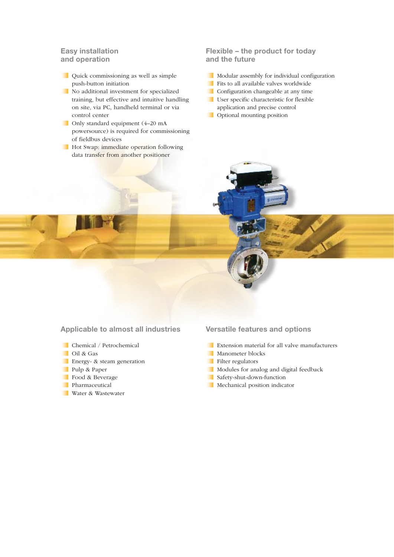#### **Easy installation and operation**

- Quick commissioning as well as simple push-button initiation
- No additional investment for specialized training, but effective and intuitive handling on site, via PC, handheld terminal or via control center
- Only standard equipment (4–20 mA powersource) is required for commissioning of fieldbus devices
- **Hot Swap: immediate operation following** data transfer from another positioner

### **Flexible – the product for today and the future**

- Modular assembly for individual configuration
- Fits to all available valves worldwide
- Configuration changeable at any time
- User specific characteristic for flexible application and precise control
- **Optional mounting position**

**Applicable to almost all industries**

- Chemical / Petrochemical
- Oil & Gas
- **Energy- & steam generation**
- Pulp & Paper
- Food & Beverage
- **Pharmaceutical**
- Water & Wastewater

**Versatile features and options**

- Extension material for all valve manufacturers
- **Manometer blocks**
- Filter regulators
- Modules for analog and digital feedback
- Safety-shut-down-function
- **Mechanical position indicator**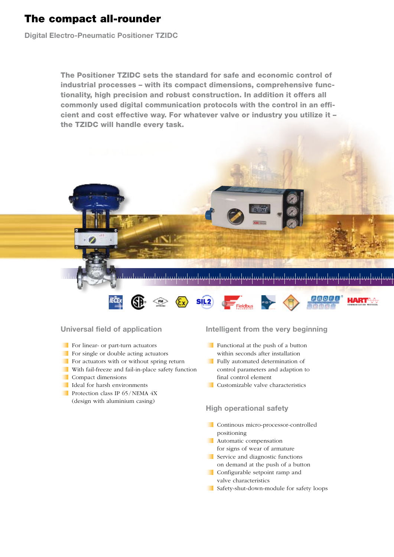## The compact all-rounder

**Digital Electro-Pneumatic Positioner TZIDC** 

The Positioner TZIDC sets the standard for safe and economic control of industrial processes – with its compact dimensions, comprehensive functionality, high precision and robust construction. In addition it offers all commonly used digital communication protocols with the control in an efficient and cost effective way. For whatever valve or industry you utilize it – the TZIDC will handle every task.





### **Universal field of application**

- For linear- or part-turn actuators
- For single or double acting actuators
- For actuators with or without spring return
- With fail-freeze and fail-in-place safety function
- Compact dimensions
- Ideal for harsh environments
- Protection class IP 65/NEMA 4X (design with aluminium casing)

#### **Intelligent from the very beginning**

- Functional at the push of a button within seconds after installation
- **Fully automated determination of** control parameters and adaption to final control element
- Customizable valve characteristics

### **High operational safety**

- Continous micro-processor-controlled positioning
- **Automatic compensation** for signs of wear of armature
- Service and diagnostic functions on demand at the push of a button
- Configurable setpoint ramp and valve characteristics
- Safety-shut-down-module for safety loops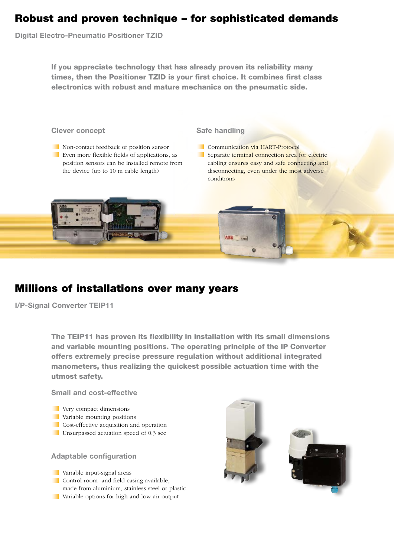## Robust and proven technique – for sophisticated demands

**Digital Electro-Pneumatic Positioner TZID**

If you appreciate technology that has already proven its reliability many times, then the Positioner TZID is your first choice. It combines first class electronics with robust and mature mechanics on the pneumatic side.



# Millions of installations over many years

**I/P-Signal Converter TEIP11**

The TEIP11 has proven its flexibility in installation with its small dimensions and variable mounting positions. The operating principle of the IP Converter offers extremely precise pressure regulation without additional integrated manometers, thus realizing the quickest possible actuation time with the utmost safety.

**Small and cost-effective**

- **Very compact dimensions**
- **Variable mounting positions**
- Cost-effective acquisition and operation
- Unsurpassed actuation speed of 0,3 sec
- **Adaptable configuration**
- **Variable input-signal areas**
- Control room- and field casing available,
- made from aluminium, stainless steel or plastic
- Variable options for high and low air output